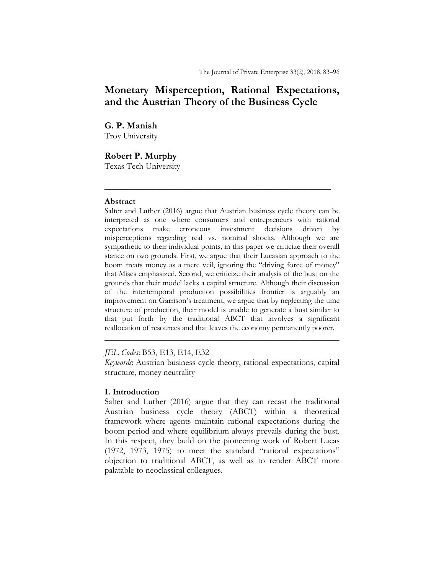# **Monetary Misperception, Rational Expectations, and the Austrian Theory of the Business Cycle**

**G. P. Manish** Troy University

# **Robert P. Murphy**

Texas Tech University

## **Abstract**

Salter and Luther (2016) argue that Austrian business cycle theory can be interpreted as one where consumers and entrepreneurs with rational expectations make erroneous investment decisions driven by misperceptions regarding real vs. nominal shocks. Although we are sympathetic to their individual points, in this paper we criticize their overall stance on two grounds. First, we argue that their Lucasian approach to the boom treats money as a mere veil, ignoring the "driving force of money" that Mises emphasized. Second, we criticize their analysis of the bust on the grounds that their model lacks a capital structure. Although their discussion of the intertemporal production possibilities frontier is arguably an improvement on Garrison's treatment, we argue that by neglecting the time structure of production, their model is unable to generate a bust similar to that put forth by the traditional ABCT that involves a significant reallocation of resources and that leaves the economy permanently poorer.

**\_\_\_\_\_\_\_\_\_\_\_\_\_\_\_\_\_\_\_\_\_\_\_\_\_\_\_\_\_\_\_\_\_\_\_\_\_\_\_\_\_\_\_\_\_\_\_\_\_\_\_\_**

## *JEL Codes*: B53, E13, E14, E32

*Keywords*: Austrian business cycle theory, rational expectations, capital structure, money neutrality

\_\_\_\_\_\_\_\_\_\_\_\_\_\_\_\_\_\_\_\_\_\_\_\_\_\_\_\_\_\_\_\_\_\_\_\_\_\_\_\_\_\_\_\_\_\_\_\_\_\_\_\_\_\_

## **I. Introduction**

Salter and Luther (2016) argue that they can recast the traditional Austrian business cycle theory (ABCT) within a theoretical framework where agents maintain rational expectations during the boom period and where equilibrium always prevails during the bust. In this respect, they build on the pioneering work of Robert Lucas (1972, 1973, 1975) to meet the standard "rational expectations" objection to traditional ABCT, as well as to render ABCT more palatable to neoclassical colleagues.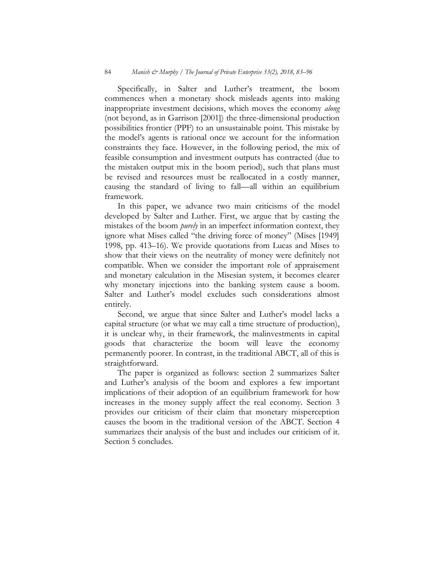Specifically, in Salter and Luther's treatment, the boom commences when a monetary shock misleads agents into making inappropriate investment decisions, which moves the economy *along*  (not beyond, as in Garrison [2001]) the three-dimensional production possibilities frontier (PPF) to an unsustainable point. This mistake by the model's agents is rational once we account for the information constraints they face. However, in the following period, the mix of feasible consumption and investment outputs has contracted (due to the mistaken output mix in the boom period), such that plans must be revised and resources must be reallocated in a costly manner, causing the standard of living to fall—all within an equilibrium framework.

In this paper, we advance two main criticisms of the model developed by Salter and Luther. First, we argue that by casting the mistakes of the boom *purely* in an imperfect information context, they ignore what Mises called "the driving force of money" (Mises [1949] 1998, pp. 413–16). We provide quotations from Lucas and Mises to show that their views on the neutrality of money were definitely not compatible. When we consider the important role of appraisement and monetary calculation in the Misesian system, it becomes clearer why monetary injections into the banking system cause a boom. Salter and Luther's model excludes such considerations almost entirely.

Second, we argue that since Salter and Luther's model lacks a capital structure (or what we may call a time structure of production), it is unclear why, in their framework, the malinvestments in capital goods that characterize the boom will leave the economy permanently poorer. In contrast, in the traditional ABCT, all of this is straightforward.

The paper is organized as follows: section 2 summarizes Salter and Luther's analysis of the boom and explores a few important implications of their adoption of an equilibrium framework for how increases in the money supply affect the real economy. Section 3 provides our criticism of their claim that monetary misperception causes the boom in the traditional version of the ABCT. Section 4 summarizes their analysis of the bust and includes our criticism of it. Section 5 concludes.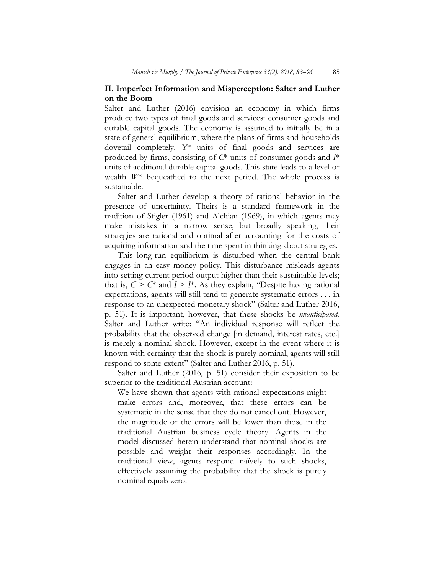# **II. Imperfect Information and Misperception: Salter and Luther on the Boom**

Salter and Luther (2016) envision an economy in which firms produce two types of final goods and services: consumer goods and durable capital goods. The economy is assumed to initially be in a state of general equilibrium, where the plans of firms and households dovetail completely. *Y*\* units of final goods and services are produced by firms, consisting of *C*\* units of consumer goods and *I*\* units of additional durable capital goods. This state leads to a level of wealth *W*\* bequeathed to the next period. The whole process is sustainable.

Salter and Luther develop a theory of rational behavior in the presence of uncertainty. Theirs is a standard framework in the tradition of Stigler (1961) and Alchian (1969), in which agents may make mistakes in a narrow sense, but broadly speaking, their strategies are rational and optimal after accounting for the costs of acquiring information and the time spent in thinking about strategies.

This long-run equilibrium is disturbed when the central bank engages in an easy money policy. This disturbance misleads agents into setting current period output higher than their sustainable levels; that is,  $C > C^*$  and  $I > I^*$ . As they explain, "Despite having rational expectations, agents will still tend to generate systematic errors . . . in response to an unexpected monetary shock" (Salter and Luther 2016, p. 51). It is important, however, that these shocks be *unanticipated*. Salter and Luther write: "An individual response will reflect the probability that the observed change [in demand, interest rates, etc.] is merely a nominal shock. However, except in the event where it is known with certainty that the shock is purely nominal, agents will still respond to some extent" (Salter and Luther 2016, p. 51).

Salter and Luther (2016, p. 51) consider their exposition to be superior to the traditional Austrian account:

We have shown that agents with rational expectations might make errors and, moreover, that these errors can be systematic in the sense that they do not cancel out. However, the magnitude of the errors will be lower than those in the traditional Austrian business cycle theory. Agents in the model discussed herein understand that nominal shocks are possible and weight their responses accordingly. In the traditional view, agents respond naïvely to such shocks, effectively assuming the probability that the shock is purely nominal equals zero.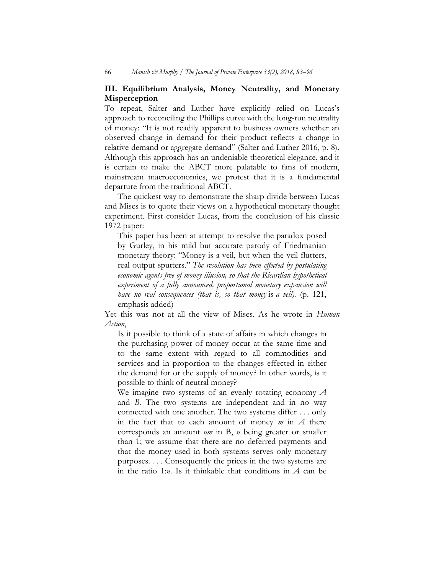# **III. Equilibrium Analysis, Money Neutrality, and Monetary Misperception**

To repeat, Salter and Luther have explicitly relied on Lucas's approach to reconciling the Phillips curve with the long-run neutrality of money: "It is not readily apparent to business owners whether an observed change in demand for their product reflects a change in relative demand or aggregate demand" (Salter and Luther 2016, p. 8). Although this approach has an undeniable theoretical elegance, and it is certain to make the ABCT more palatable to fans of modern, mainstream macroeconomics, we protest that it is a fundamental departure from the traditional ABCT.

The quickest way to demonstrate the sharp divide between Lucas and Mises is to quote their views on a hypothetical monetary thought experiment. First consider Lucas, from the conclusion of his classic 1972 paper:

This paper has been at attempt to resolve the paradox posed by Gurley, in his mild but accurate parody of Friedmanian monetary theory: "Money is a veil, but when the veil flutters, real output sputters." *The resolution has been effected by postulating economic agents free of money illusion, so that the Ricardian hypothetical experiment of a fully announced, proportional monetary expansion will have no real consequences (that is, so that money* is *a veil).* (p. 121, emphasis added)

Yet this was not at all the view of Mises. As he wrote in *Human Action*,

Is it possible to think of a state of affairs in which changes in the purchasing power of money occur at the same time and to the same extent with regard to all commodities and services and in proportion to the changes effected in either the demand for or the supply of money? In other words, is it possible to think of neutral money?

We imagine two systems of an evenly rotating economy *A*  and *B*. The two systems are independent and in no way connected with one another. The two systems differ . . . only in the fact that to each amount of money *m* in *A* there corresponds an amount *nm* in B, *n* being greater or smaller than 1; we assume that there are no deferred payments and that the money used in both systems serves only monetary purposes. . . . Consequently the prices in the two systems are in the ratio 1:*n*. Is it thinkable that conditions in *A* can be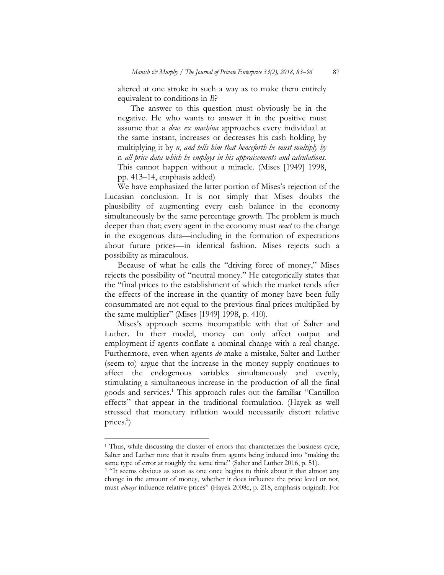altered at one stroke in such a way as to make them entirely equivalent to conditions in *B*?

The answer to this question must obviously be in the negative. He who wants to answer it in the positive must assume that a *deus ex machina* approaches every individual at the same instant, increases or decreases his cash holding by multiplying it by *n*, *and tells him that henceforth he must multiply by*  n *all price data which he employs in his appraisements and calculations.* This cannot happen without a miracle. (Mises [1949] 1998, pp. 413–14, emphasis added)

We have emphasized the latter portion of Mises's rejection of the Lucasian conclusion. It is not simply that Mises doubts the plausibility of augmenting every cash balance in the economy simultaneously by the same percentage growth. The problem is much deeper than that; every agent in the economy must *react* to the change in the exogenous data—including in the formation of expectations about future prices—in identical fashion. Mises rejects such a possibility as miraculous.

Because of what he calls the "driving force of money," Mises rejects the possibility of "neutral money." He categorically states that the "final prices to the establishment of which the market tends after the effects of the increase in the quantity of money have been fully consummated are not equal to the previous final prices multiplied by the same multiplier" (Mises [1949] 1998, p. 410).

Mises's approach seems incompatible with that of Salter and Luther. In their model, money can only affect output and employment if agents conflate a nominal change with a real change. Furthermore, even when agents *do* make a mistake, Salter and Luther (seem to) argue that the increase in the money supply continues to affect the endogenous variables simultaneously and evenly, stimulating a simultaneous increase in the production of all the final goods and services.<sup>1</sup> This approach rules out the familiar "Cantillon effects" that appear in the traditional formulation. (Hayek as well stressed that monetary inflation would necessarily distort relative prices.2 )

<sup>&</sup>lt;sup>1</sup> Thus, while discussing the cluster of errors that characterizes the business cycle, Salter and Luther note that it results from agents being induced into "making the same type of error at roughly the same time" (Salter and Luther 2016, p. 51).

<sup>&</sup>lt;sup>2</sup> "It seems obvious as soon as one once begins to think about it that almost any change in the amount of money, whether it does influence the price level or not, must *always* influence relative prices" (Hayek 2008c, p. 218, emphasis original). For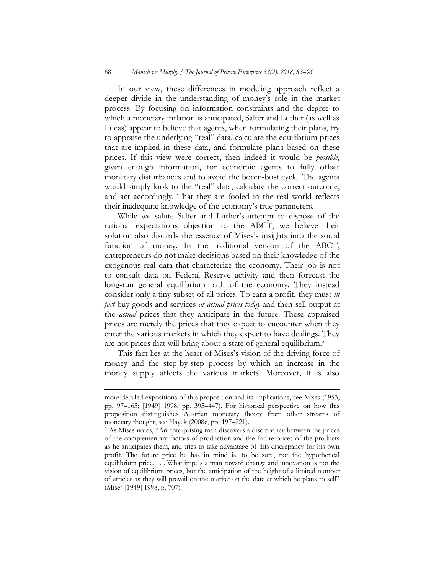In our view, these differences in modeling approach reflect a deeper divide in the understanding of money's role in the market process. By focusing on information constraints and the degree to which a monetary inflation is anticipated, Salter and Luther (as well as Lucas) appear to believe that agents, when formulating their plans, try to appraise the underlying "real" data, calculate the equilibrium prices that are implied in these data, and formulate plans based on these prices. If this view were correct, then indeed it would be *possible,* given enough information, for economic agents to fully offset monetary disturbances and to avoid the boom-bust cycle. The agents would simply look to the "real" data, calculate the correct outcome, and act accordingly. That they are fooled in the real world reflects their inadequate knowledge of the economy's true parameters.

While we salute Salter and Luther's attempt to dispose of the rational expectations objection to the ABCT, we believe their solution also discards the essence of Mises's insights into the social function of money. In the traditional version of the ABCT, entrepreneurs do not make decisions based on their knowledge of the exogenous real data that characterize the economy. Their job is not to consult data on Federal Reserve activity and then forecast the long-run general equilibrium path of the economy. They instead consider only a tiny subset of all prices. To earn a profit, they must *in fact* buy goods and services *at actual prices today* and then sell output at the *actual* prices that they anticipate in the future. These appraised prices are merely the prices that they expect to encounter when they enter the various markets in which they expect to have dealings. They are not prices that will bring about a state of general equilibrium.<sup>3</sup>

This fact lies at the heart of Mises's vision of the driving force of money and the step-by-step process by which an increase in the money supply affects the various markets. Moreover, it is also

more detailed expositions of this proposition and its implications, see Mises (1953, pp. 97–165; [1949] 1998, pp. 395–447). For historical perspective on how this proposition distinguishes Austrian monetary theory from other streams of monetary thought, see Hayek (2008c, pp. 197–221).

<sup>&</sup>lt;sup>3</sup> As Mises notes, "An enterprising man discovers a discrepancy between the prices of the complementary factors of production and the future prices of the products as he anticipates them, and tries to take advantage of this discrepancy for his own profit. The future price he has in mind is, to be sure, not the hypothetical equilibrium price. . . . What impels a man toward change and innovation is not the vision of equilibrium prices, but the anticipation of the height of a limited number of articles as they will prevail on the market on the date at which he plans to sell" (Mises [1949] 1998, p. 707).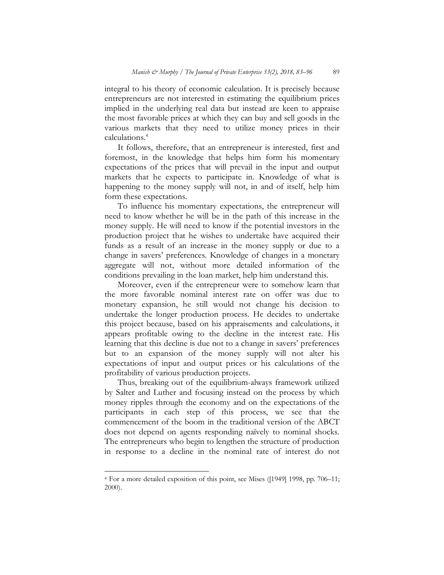integral to his theory of economic calculation. It is precisely because entrepreneurs are not interested in estimating the equilibrium prices implied in the underlying real data but instead are keen to appraise the most favorable prices at which they can buy and sell goods in the various markets that they need to utilize money prices in their calculations.4

It follows, therefore, that an entrepreneur is interested, first and foremost, in the knowledge that helps him form his momentary expectations of the prices that will prevail in the input and output markets that he expects to participate in. Knowledge of what is happening to the money supply will not, in and of itself, help him form these expectations.

To influence his momentary expectations, the entrepreneur will need to know whether he will be in the path of this increase in the money supply. He will need to know if the potential investors in the production project that he wishes to undertake have acquired their funds as a result of an increase in the money supply or due to a change in savers' preferences. Knowledge of changes in a monetary aggregate will not, without more detailed information of the conditions prevailing in the loan market, help him understand this.

Moreover, even if the entrepreneur were to somehow learn that the more favorable nominal interest rate on offer was due to monetary expansion, he still would not change his decision to undertake the longer production process. He decides to undertake this project because, based on his appraisements and calculations, it appears profitable owing to the decline in the interest rate. His learning that this decline is due not to a change in savers' preferences but to an expansion of the money supply will not alter his expectations of input and output prices or his calculations of the profitability of various production projects.

Thus, breaking out of the equilibrium-always framework utilized by Salter and Luther and focusing instead on the process by which money ripples through the economy and on the expectations of the participants in each step of this process, we see that the commencement of the boom in the traditional version of the ABCT does not depend on agents responding naïvely to nominal shocks. The entrepreneurs who begin to lengthen the structure of production in response to a decline in the nominal rate of interest do not

<sup>4</sup> For a more detailed exposition of this point, see Mises ([1949] 1998, pp. 706–11; 2000).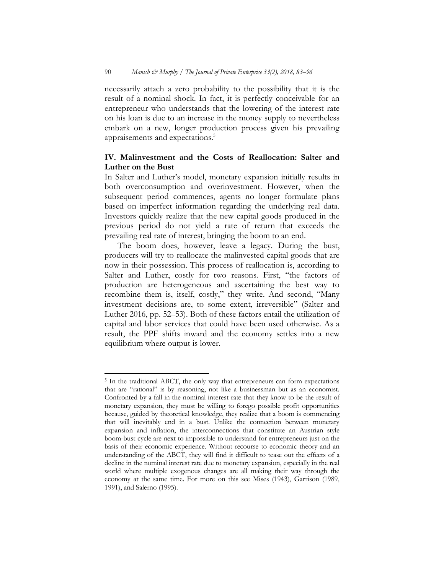necessarily attach a zero probability to the possibility that it is the result of a nominal shock. In fact, it is perfectly conceivable for an entrepreneur who understands that the lowering of the interest rate on his loan is due to an increase in the money supply to nevertheless embark on a new, longer production process given his prevailing appraisements and expectations.<sup>5</sup>

## **IV. Malinvestment and the Costs of Reallocation: Salter and Luther on the Bust**

In Salter and Luther's model, monetary expansion initially results in both overconsumption and overinvestment. However, when the subsequent period commences, agents no longer formulate plans based on imperfect information regarding the underlying real data. Investors quickly realize that the new capital goods produced in the previous period do not yield a rate of return that exceeds the prevailing real rate of interest, bringing the boom to an end.

The boom does, however, leave a legacy. During the bust, producers will try to reallocate the malinvested capital goods that are now in their possession. This process of reallocation is, according to Salter and Luther, costly for two reasons. First, "the factors of production are heterogeneous and ascertaining the best way to recombine them is, itself, costly," they write. And second, "Many investment decisions are, to some extent, irreversible" (Salter and Luther 2016, pp. 52–53). Both of these factors entail the utilization of capital and labor services that could have been used otherwise. As a result, the PPF shifts inward and the economy settles into a new equilibrium where output is lower.

 $\overline{a}$ <sup>5</sup> In the traditional ABCT, the only way that entrepreneurs can form expectations that are "rational" is by reasoning, not like a businessman but as an economist. Confronted by a fall in the nominal interest rate that they know to be the result of monetary expansion, they must be willing to forego possible profit opportunities because, guided by theoretical knowledge, they realize that a boom is commencing that will inevitably end in a bust. Unlike the connection between monetary expansion and inflation, the interconnections that constitute an Austrian style boom-bust cycle are next to impossible to understand for entrepreneurs just on the basis of their economic experience. Without recourse to economic theory and an understanding of the ABCT, they will find it difficult to tease out the effects of a decline in the nominal interest rate due to monetary expansion, especially in the real world where multiple exogenous changes are all making their way through the economy at the same time. For more on this see Mises (1943), Garrison (1989, 1991), and Salerno (1995).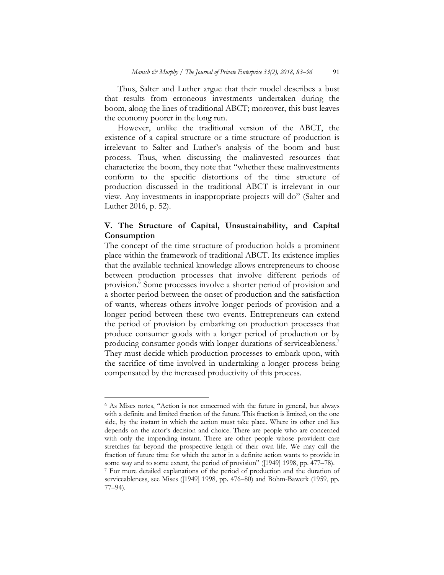Thus, Salter and Luther argue that their model describes a bust that results from erroneous investments undertaken during the boom, along the lines of traditional ABCT; moreover, this bust leaves the economy poorer in the long run.

However, unlike the traditional version of the ABCT, the existence of a capital structure or a time structure of production is irrelevant to Salter and Luther's analysis of the boom and bust process. Thus, when discussing the malinvested resources that characterize the boom, they note that "whether these malinvestments conform to the specific distortions of the time structure of production discussed in the traditional ABCT is irrelevant in our view. Any investments in inappropriate projects will do" (Salter and Luther 2016, p. 52).

# **V. The Structure of Capital, Unsustainability, and Capital Consumption**

The concept of the time structure of production holds a prominent place within the framework of traditional ABCT. Its existence implies that the available technical knowledge allows entrepreneurs to choose between production processes that involve different periods of provision. $\frac{\delta}{\rho}$  Some processes involve a shorter period of provision and a shorter period between the onset of production and the satisfaction of wants, whereas others involve longer periods of provision and a longer period between these two events. Entrepreneurs can extend the period of provision by embarking on production processes that produce consumer goods with a longer period of production or by producing consumer goods with longer durations of serviceableness.7 They must decide which production processes to embark upon, with the sacrifice of time involved in undertaking a longer process being compensated by the increased productivity of this process.

l

<sup>6</sup> As Mises notes, "Action is not concerned with the future in general, but always with a definite and limited fraction of the future. This fraction is limited, on the one side, by the instant in which the action must take place. Where its other end lies depends on the actor's decision and choice. There are people who are concerned with only the impending instant. There are other people whose provident care stretches far beyond the prospective length of their own life. We may call the fraction of future time for which the actor in a definite action wants to provide in some way and to some extent, the period of provision" ([1949] 1998, pp. 477–78).

<sup>7</sup> For more detailed explanations of the period of production and the duration of serviceableness, see Mises ([1949] 1998, pp. 476–80) and Böhm-Bawerk (1959, pp. 77–94).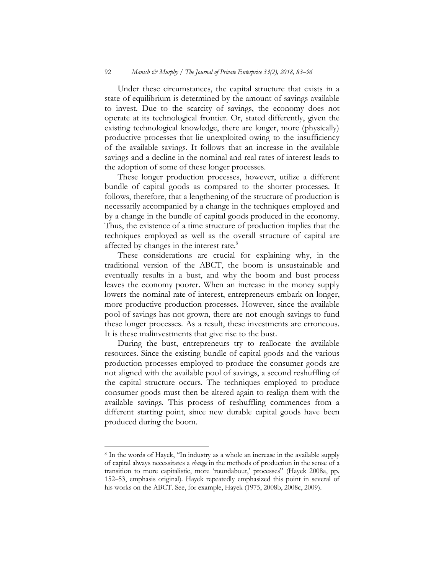Under these circumstances, the capital structure that exists in a state of equilibrium is determined by the amount of savings available to invest. Due to the scarcity of savings, the economy does not operate at its technological frontier. Or, stated differently, given the existing technological knowledge, there are longer, more (physically) productive processes that lie unexploited owing to the insufficiency of the available savings. It follows that an increase in the available savings and a decline in the nominal and real rates of interest leads to the adoption of some of these longer processes.

These longer production processes, however, utilize a different bundle of capital goods as compared to the shorter processes. It follows, therefore, that a lengthening of the structure of production is necessarily accompanied by a change in the techniques employed and by a change in the bundle of capital goods produced in the economy. Thus, the existence of a time structure of production implies that the techniques employed as well as the overall structure of capital are affected by changes in the interest rate.<sup>8</sup>

These considerations are crucial for explaining why, in the traditional version of the ABCT, the boom is unsustainable and eventually results in a bust, and why the boom and bust process leaves the economy poorer. When an increase in the money supply lowers the nominal rate of interest, entrepreneurs embark on longer, more productive production processes. However, since the available pool of savings has not grown, there are not enough savings to fund these longer processes. As a result, these investments are erroneous. It is these malinvestments that give rise to the bust.

During the bust, entrepreneurs try to reallocate the available resources. Since the existing bundle of capital goods and the various production processes employed to produce the consumer goods are not aligned with the available pool of savings, a second reshuffling of the capital structure occurs. The techniques employed to produce consumer goods must then be altered again to realign them with the available savings. This process of reshuffling commences from a different starting point, since new durable capital goods have been produced during the boom.

<sup>8</sup> In the words of Hayek, "In industry as a whole an increase in the available supply of capital always necessitates a *change* in the methods of production in the sense of a transition to more capitalistic, more 'roundabout,' processes" (Hayek 2008a, pp. 152–53, emphasis original). Hayek repeatedly emphasized this point in several of his works on the ABCT. See, for example, Hayek (1975, 2008b, 2008c, 2009).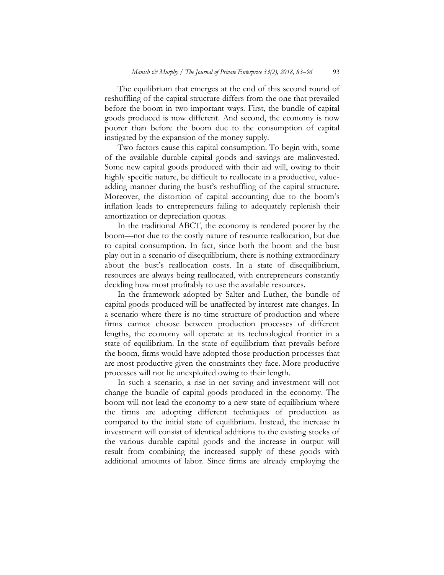The equilibrium that emerges at the end of this second round of reshuffling of the capital structure differs from the one that prevailed before the boom in two important ways. First, the bundle of capital goods produced is now different. And second, the economy is now poorer than before the boom due to the consumption of capital instigated by the expansion of the money supply.

Two factors cause this capital consumption. To begin with, some of the available durable capital goods and savings are malinvested. Some new capital goods produced with their aid will, owing to their highly specific nature, be difficult to reallocate in a productive, valueadding manner during the bust's reshuffling of the capital structure. Moreover, the distortion of capital accounting due to the boom's inflation leads to entrepreneurs failing to adequately replenish their amortization or depreciation quotas.

In the traditional ABCT, the economy is rendered poorer by the boom—not due to the costly nature of resource reallocation, but due to capital consumption. In fact, since both the boom and the bust play out in a scenario of disequilibrium, there is nothing extraordinary about the bust's reallocation costs. In a state of disequilibrium, resources are always being reallocated, with entrepreneurs constantly deciding how most profitably to use the available resources.

In the framework adopted by Salter and Luther, the bundle of capital goods produced will be unaffected by interest-rate changes. In a scenario where there is no time structure of production and where firms cannot choose between production processes of different lengths, the economy will operate at its technological frontier in a state of equilibrium. In the state of equilibrium that prevails before the boom, firms would have adopted those production processes that are most productive given the constraints they face. More productive processes will not lie unexploited owing to their length.

In such a scenario, a rise in net saving and investment will not change the bundle of capital goods produced in the economy. The boom will not lead the economy to a new state of equilibrium where the firms are adopting different techniques of production as compared to the initial state of equilibrium. Instead, the increase in investment will consist of identical additions to the existing stocks of the various durable capital goods and the increase in output will result from combining the increased supply of these goods with additional amounts of labor. Since firms are already employing the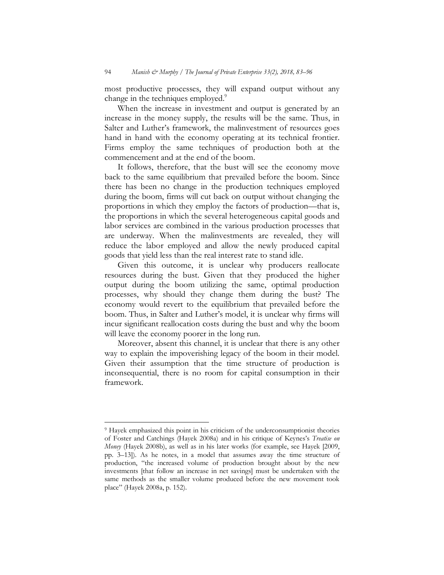most productive processes, they will expand output without any change in the techniques employed.<sup>9</sup>

When the increase in investment and output is generated by an increase in the money supply, the results will be the same. Thus, in Salter and Luther's framework, the malinvestment of resources goes hand in hand with the economy operating at its technical frontier. Firms employ the same techniques of production both at the commencement and at the end of the boom.

It follows, therefore, that the bust will see the economy move back to the same equilibrium that prevailed before the boom. Since there has been no change in the production techniques employed during the boom, firms will cut back on output without changing the proportions in which they employ the factors of production—that is, the proportions in which the several heterogeneous capital goods and labor services are combined in the various production processes that are underway. When the malinvestments are revealed, they will reduce the labor employed and allow the newly produced capital goods that yield less than the real interest rate to stand idle.

Given this outcome, it is unclear why producers reallocate resources during the bust. Given that they produced the higher output during the boom utilizing the same, optimal production processes, why should they change them during the bust? The economy would revert to the equilibrium that prevailed before the boom. Thus, in Salter and Luther's model, it is unclear why firms will incur significant reallocation costs during the bust and why the boom will leave the economy poorer in the long run.

Moreover, absent this channel, it is unclear that there is any other way to explain the impoverishing legacy of the boom in their model. Given their assumption that the time structure of production is inconsequential, there is no room for capital consumption in their framework.

<sup>9</sup> Hayek emphasized this point in his criticism of the underconsumptionist theories of Foster and Catchings (Hayek 2008a) and in his critique of Keynes's *Treatise on Money* (Hayek 2008b), as well as in his later works (for example, see Hayek [2009, pp. 3–13]). As he notes, in a model that assumes away the time structure of production, "the increased volume of production brought about by the new investments [that follow an increase in net savings] must be undertaken with the same methods as the smaller volume produced before the new movement took place" (Hayek 2008a, p. 152).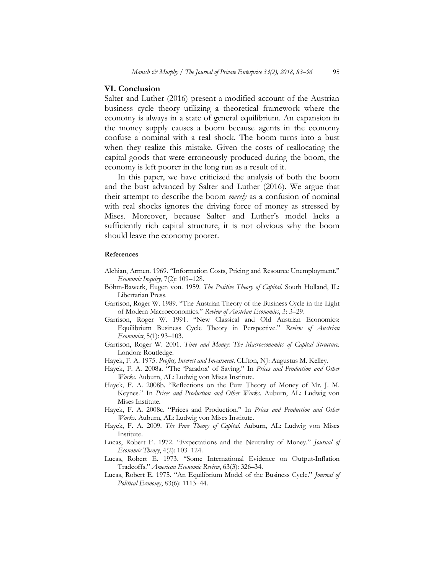## **VI. Conclusion**

Salter and Luther (2016) present a modified account of the Austrian business cycle theory utilizing a theoretical framework where the economy is always in a state of general equilibrium. An expansion in the money supply causes a boom because agents in the economy confuse a nominal with a real shock. The boom turns into a bust when they realize this mistake. Given the costs of reallocating the capital goods that were erroneously produced during the boom, the economy is left poorer in the long run as a result of it.

In this paper, we have criticized the analysis of both the boom and the bust advanced by Salter and Luther (2016). We argue that their attempt to describe the boom *merely* as a confusion of nominal with real shocks ignores the driving force of money as stressed by Mises. Moreover, because Salter and Luther's model lacks a sufficiently rich capital structure, it is not obvious why the boom should leave the economy poorer.

## **References**

- Alchian, Armen. 1969. "Information Costs, Pricing and Resource Unemployment." *Economic Inquiry*, 7(2): 109–128.
- Böhm-Bawerk, Eugen von. 1959. *The Positive Theory of Capital.* South Holland, IL: Libertarian Press.
- Garrison, Roger W. 1989. "The Austrian Theory of the Business Cycle in the Light of Modern Macroeconomics." *Review of Austrian Economics*, 3: 3–29.
- Garrison, Roger W. 1991. "New Classical and Old Austrian Economics: Equilibrium Business Cycle Theory in Perspective." *Review of Austrian Economics*, 5(1): 93–103.
- Garrison, Roger W. 2001. *Time and Money: The Macroeconomics of Capital Structure.*  London: Routledge.
- Hayek, F. A. 1975. *Profits, Interest and Investment.* Clifton, NJ: Augustus M. Kelley.
- Hayek, F. A. 2008a. "The 'Paradox' of Saving*.*" In *Prices and Production and Other Works.* Auburn, AL: Ludwig von Mises Institute.
- Hayek, F. A. 2008b. "Reflections on the Pure Theory of Money of Mr. J. M. Keynes*.*" In *Prices and Production and Other Works.* Auburn, AL: Ludwig von Mises Institute.
- Hayek, F. A. 2008c. "Prices and Production*.*" In *Prices and Production and Other Works.* Auburn, AL: Ludwig von Mises Institute.
- Hayek, F. A. 2009. *The Pure Theory of Capital.* Auburn, AL: Ludwig von Mises Institute.
- Lucas, Robert E. 1972. "Expectations and the Neutrality of Money." *Journal of Economic Theory*, 4(2): 103–124.
- Lucas, Robert E. 1973. "Some International Evidence on Output-Inflation Tradeoffs." *American Economic Review*, 63(3): 326–34.
- Lucas, Robert E. 1975. "An Equilibrium Model of the Business Cycle." *Journal of Political Economy*, 83(6): 1113–44.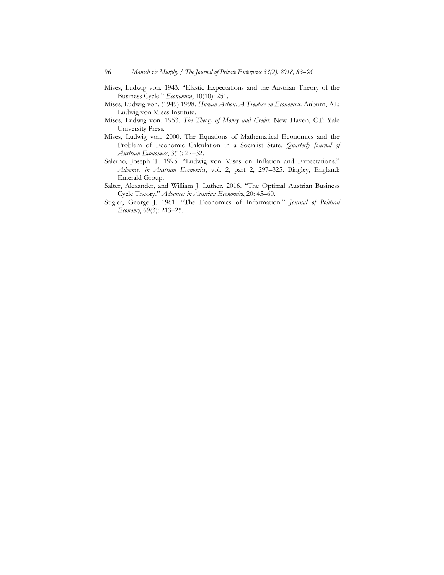- Mises, Ludwig von. 1943. "Elastic Expectations and the Austrian Theory of the Business Cycle." *Economica*, 10(10): 251.
- Mises, Ludwig von. (1949) 1998. *Human Action: A Treatise on Economics*. Auburn, AL: Ludwig von Mises Institute.
- Mises, Ludwig von. 1953. *The Theory of Money and Credit*. New Haven, CT: Yale University Press.
- Mises, Ludwig von. 2000. The Equations of Mathematical Economics and the Problem of Economic Calculation in a Socialist State. *Quarterly Journal of Austrian Economics*, 3(1): 27–32.
- Salerno, Joseph T. 1995. "Ludwig von Mises on Inflation and Expectations." *Advances in Austrian Economics*, vol. 2, part 2, 297–325. Bingley, England: Emerald Group.
- Salter, Alexander, and William J. Luther. 2016. "The Optimal Austrian Business Cycle Theory." *Advances in Austrian Economics*, 20: 45–60.
- Stigler, George J. 1961. "The Economics of Information." *Journal of Political Economy*, 69(3): 213–25.